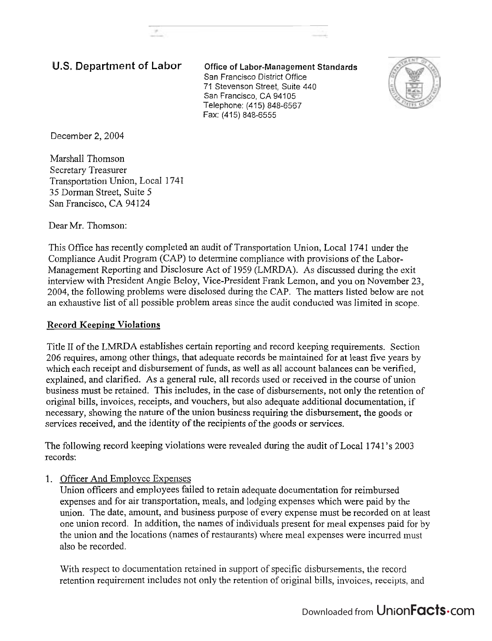# U.S. Department of Labor **Office of Labor-Management Standards**

San Francisco District Office 71 Stevenson Street, Suite 440 San Francisco, CA 94105 Telephone: (415) 848-6567 Fax: (415) 848-6555



December 2, 2004

Marshall Thomson Secretary Treasurer Transportation Union, Local 174 1 35 Dorman Street, Suite 5 San Francisco, CA 94124

Dear Mr. Thomson:

This Office has recently completed an audit of Transportation Union, Local 1741 under the Compliance Audit Program (CAP) to determine compliance with provisions of the Labor-Management Reporting and Disclosure Act of 1959 (LMRDA). As discussed during the exit interview with President Angie Beloy, Vice-president Frank Lemon, and you on November 23, 2004, the following problems were disclosed during the CAP. The matters listed below are not an exhaustive list of all possible problem areas since the audit conducted was limited in scope.

#### **Record Keeping Violations**

Title I1 of the LMRDA establishes certain reporting and record keeping requirements. Section 206 requires, among other things, that adequate records be maintained for at least five years by which each receipt and disbursement of funds, as well as all account balances can be verified, explained, and clarified. As a general rule, all records used or received in the course of union business must be retained. This includes, in the case of disbursements, not only the retention of original bills, invoices, receipts, and vouchers, but also adequate additional documentation, if necessary, showing the nature of the union business requiring the disbursement, the goods or services received, and the identity of the recipients of the goods or services.

The following record keeping violations were revealed during the audit of Local 1741's 2003 records:

1. Officer And Employee Expenses

Union officers and employees failed to retain adequate documentation for reimbursed expenses and for air transportation, meals, and lodging expenses which were paid by the union. The date, amount, and business purpose of every expense must be recorded on at least one union record. In addition, the names of individuals present for meal expenses paid for by the union and the locations (names of restaurants) where meal expenses were incurred must also be recorded.

With respect to documentation retained in support of specific disbursements, the record retention requirement includes not only the retention of original bills, invoices, receipts, and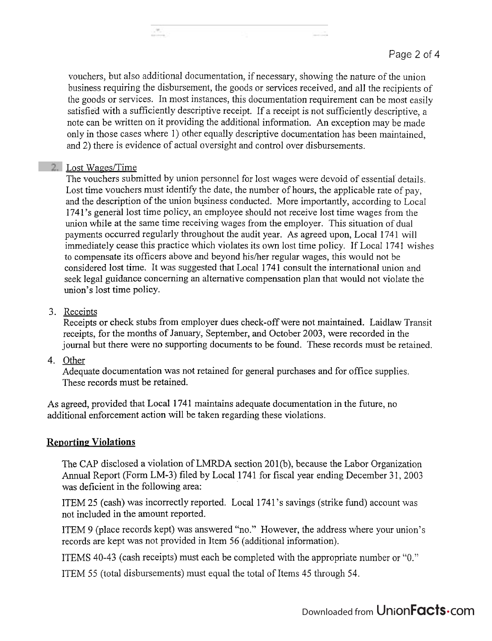vouchers, but also additional documentation, if necessary, showing the nature of the union business requiring the disbursement, the goods or services received, and all the recipients of the goods or services. In most instances, this documentation requirement can be most easily satisfied with a sufficiently descriptive receipt. If a receipt is not sufficiently descriptive, a note can be written on it providing the additional information. An exception may be made only in those cases where 1) other equally descriptive documentation has been maintained, and 2) there is evidence of actual oversight and control over disbursements.

### 2. Lost Wages/Time

 $\mathcal{P}_\alpha$ 

The vouchers submitted by union personnel for lost wages were devoid of essential' details. Lost time vouchers must identify the date, the number of hours, the applicable rate of pay, and the description of the union business conducted. More importantly, according to Local 1741's general lost time policy, an employee should not receive lost time wages from the union while at the same time receiving wages from the employer. This situation of dual payments occurred regularly throughout the audit year. As agreed upon, Local 1741 will immediately cease this practice which violates its own lost time policy. If Local 1741 wishes to compensate its officers above and beyond hislher regular wages, this would not be considered lost time. It was suggested that Local 1741 consult the international union and seek legal guidance concerning an alternative compensation plan that would not violate the union's lost time policy.

### 3. Receipts

Receipts or check stubs from employer dues check-off were not maintained. Laidlaw Transit receipts, for the months of January, September, and October 2003, were recorded in the journal but there were no supporting documents to be found. These records must be retained.

#### 4. Other

Adequate documentation was not retained for general purchases and for office supplies. These records must be retained.

As agreed, provided that Local 1741 maintains adequate documentation in the future, no additional enforcement action will be taken regarding these violations.

# **Reporting Violations**

The CAP disclosed a violation of LMRDA section 201(b), because the Labor Organization Annual Report (Form LM-3) filed by Local 1741 for fiscal year ending December 31, 2003 was deficient in the following area:

ITEM 25 (cash) was incorrectly reported. Local 1741's savings (strike fund) account was not included in the amount reported.

ITEM 9 (place records kept) was answered "no." However, the address where your union's records are kept was not provided in Item 56 (additional information).

ITEMS 40-43 (cash receipts) must each be completed with the appropriate number or "0."

ITEM *55* (total disbursements) must equal the total of Items 45 through 54.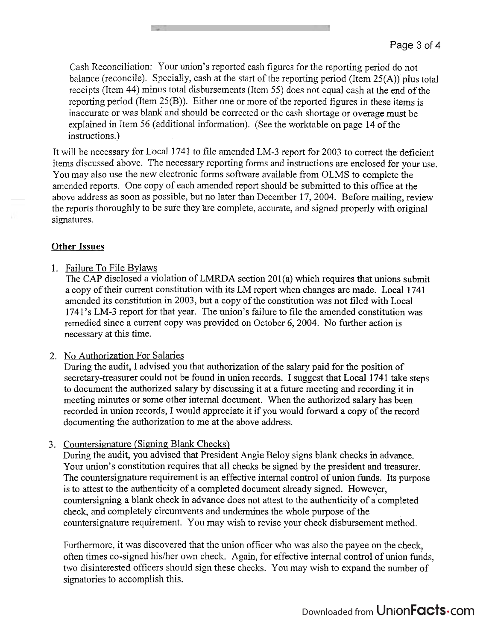Cash Reconciliation: Your union's reported cash figures for the reporting period do not balance (reconcile). Specially, cash at the start of the reporting period (Item 25(A)) plus total receipts (Item 44) minus total disbursements (Item 55) does not equal cash at the end of the reporting period (Item 25(B)). Either one or more of the reported figures in these items is inaccurate or was blank and should be corrected or the cash shortage or overage must be explained in Item 56 (additional information). (See the worktable on page 14 of the instructions.)

It will be necessary for Local 1741 to file amended LM-3 report for 2003 to correct the deficient items discussed above. The necessary reporting forms and instructions are enclosed for your use. You may also use the new electronic forms software available from OLMS to complete the amended reports. One copy of each amended report should be submitted to this office at the above address as soon as possible, but no later than December 17,2004. Before mailing, review the reports thoroughly to be sure they are complete, accurate, and signed properly with original signatures.

# **Other Issues**

### 1. Failure To File Bylaws

The CAP disclosed a violation of LMRDA section 201(a) which requires that unions submit a copy of their current constitution with its LM report when changes are made. Local 1741 amended its constitution in 2003, but a copy of the constitution was not filed with Local 1741's LM-3 report for that year. The union's failure to file the amended constitution was remedied since a current copy was provided on October 6,2004. No further action is necessary at this time.

# 2. No Authorization For Salaries

During the audit, I advised you that authorization of the salary paid for the position of secretary-treasurer could not be found in union records. I suggest that Local 1741 take steps to document the authorized salary by discussing it at a future meeting and recording it in meeting minutes or some other internal document. When the authorized salary has been recorded in union records, I would appreciate it if you would forward a copy of the record documenting the authorization to me at the above address.

# 3. Countersignature (Signing Blank Checks)

During the audit, you advised that President Angie Beloy signs blank checks in advance. Your union's constitution requires that all checks be signed by the president and treasurer. The countersignature requirement is an effective internal control of union funds. Its purpose is to attest to the authenticity of a completed document already signed. However, countersigning a blank check in advance does not attest to the authenticity of a completed check, and completely circumvents and undermines the whole purpose of the countersignature requirement. You may wish to revise your check disbursement method.

Furthermore, it was discovered that the union officer who was also the payee on the check, often times co-signed his/her own check. Again, for effective internal control of union funds, two disinterested officers should sign these checks. You may wish to expand the number of signatories to accomplish this.